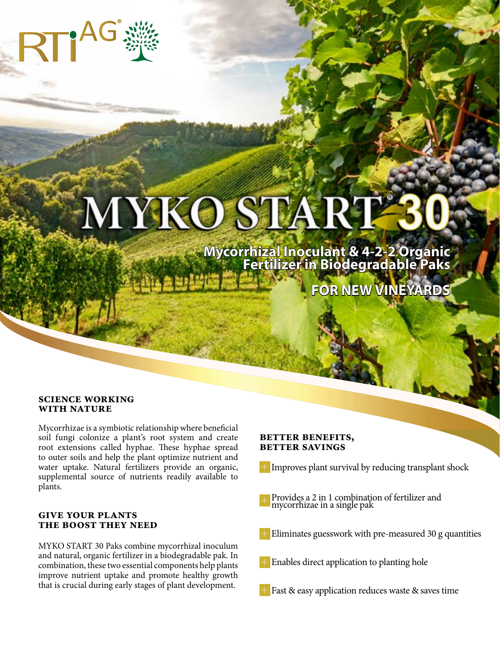# MYKO START

**Mycorrhizal Inoculant & 4-2-2 Organic Fertilizer in Biodegradable Paks**

**FOR NEW VINEYARDS**

#### **SCIENCE WORKING WITH NATURE**

Mycorrhizae is a symbiotic relationship where beneficial soil fungi colonize a plant's root system and create root extensions called hyphae. These hyphae spread to outer soils and help the plant optimize nutrient and water uptake. Natural fertilizers provide an organic, supplemental source of nutrients readily available to plants.

#### **GIVE YOUR PLANTS THE BOOST THEY NEED**

MYKO START 30 Paks combine mycorrhizal inoculum and natural, organic fertilizer in a biodegradable pak. In combination, these two essential components help plants improve nutrient uptake and promote healthy growth that is crucial during early stages of plant development.

#### **Better BENEFITS, Better SAVINGS**

- + Improves plant survival by reducing transplant shock
- + Provides a 2 in 1 combination of fertilizer and mycorrhizae in a single pak
- Eliminates guesswork with pre-measured 30 g quantities
- $+$ Enables direct application to planting hole
- + Fast & easy application reduces waste & saves time